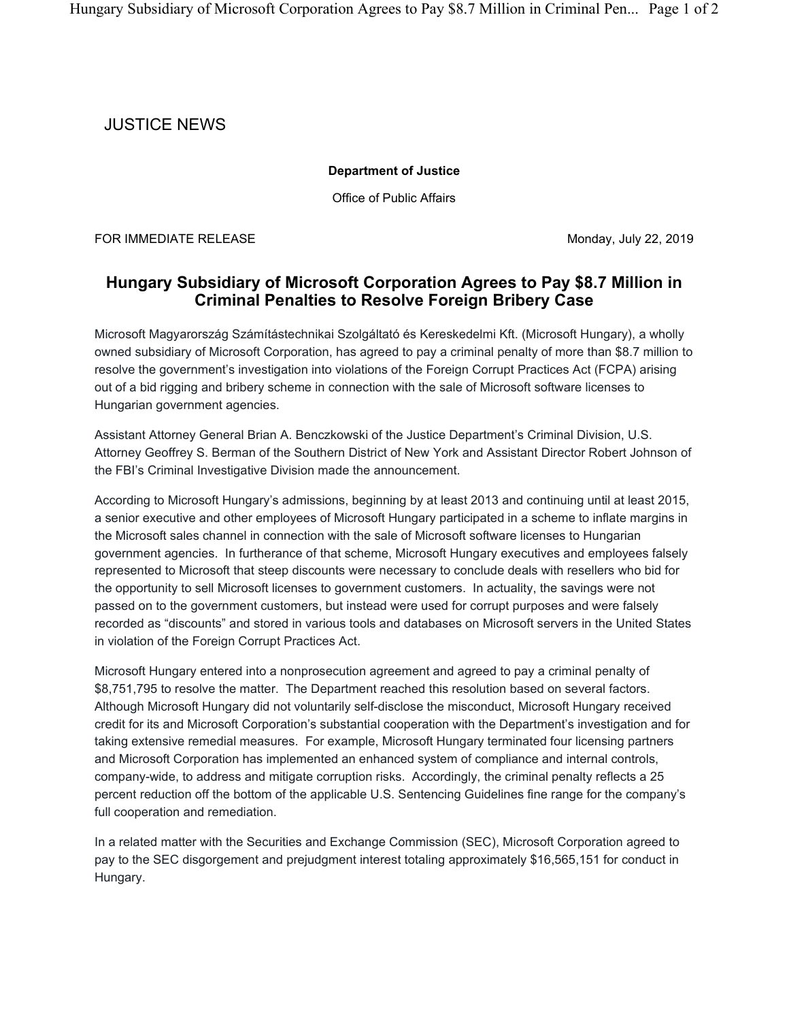## JUSTICE NEWS

## **Department of Justice**

Office of Public Affairs

FOR IMMEDIATE RELEASE Monday, July 22, 2019

## **Hungary Subsidiary of Microsoft Corporation Agrees to Pay \$8.7 Million in Criminal Penalties to Resolve Foreign Bribery Case**

Microsoft Magyarország Számítástechnikai Szolgáltató és Kereskedelmi Kft. (Microsoft Hungary), a wholly owned subsidiary of Microsoft Corporation, has agreed to pay a criminal penalty of more than \$8.7 million to resolve the government's investigation into violations of the Foreign Corrupt Practices Act (FCPA) arising out of a bid rigging and bribery scheme in connection with the sale of Microsoft software licenses to Hungarian government agencies.

Assistant Attorney General Brian A. Benczkowski of the Justice Department's Criminal Division, U.S. Attorney Geoffrey S. Berman of the Southern District of New York and Assistant Director Robert Johnson of the FBI's Criminal Investigative Division made the announcement.

According to Microsoft Hungary's admissions, beginning by at least 2013 and continuing until at least 2015, a senior executive and other employees of Microsoft Hungary participated in a scheme to inflate margins in the Microsoft sales channel in connection with the sale of Microsoft software licenses to Hungarian government agencies. In furtherance of that scheme, Microsoft Hungary executives and employees falsely represented to Microsoft that steep discounts were necessary to conclude deals with resellers who bid for the opportunity to sell Microsoft licenses to government customers. In actuality, the savings were not passed on to the government customers, but instead were used for corrupt purposes and were falsely recorded as "discounts" and stored in various tools and databases on Microsoft servers in the United States in violation of the Foreign Corrupt Practices Act.

Microsoft Hungary entered into a nonprosecution agreement and agreed to pay a criminal penalty of \$8,751,795 to resolve the matter. The Department reached this resolution based on several factors. Although Microsoft Hungary did not voluntarily self-disclose the misconduct, Microsoft Hungary received credit for its and Microsoft Corporation's substantial cooperation with the Department's investigation and for taking extensive remedial measures. For example, Microsoft Hungary terminated four licensing partners and Microsoft Corporation has implemented an enhanced system of compliance and internal controls, company-wide, to address and mitigate corruption risks. Accordingly, the criminal penalty reflects a 25 percent reduction off the bottom of the applicable U.S. Sentencing Guidelines fine range for the company's full cooperation and remediation.

In a related matter with the Securities and Exchange Commission (SEC), Microsoft Corporation agreed to pay to the SEC disgorgement and prejudgment interest totaling approximately \$16,565,151 for conduct in Hungary.